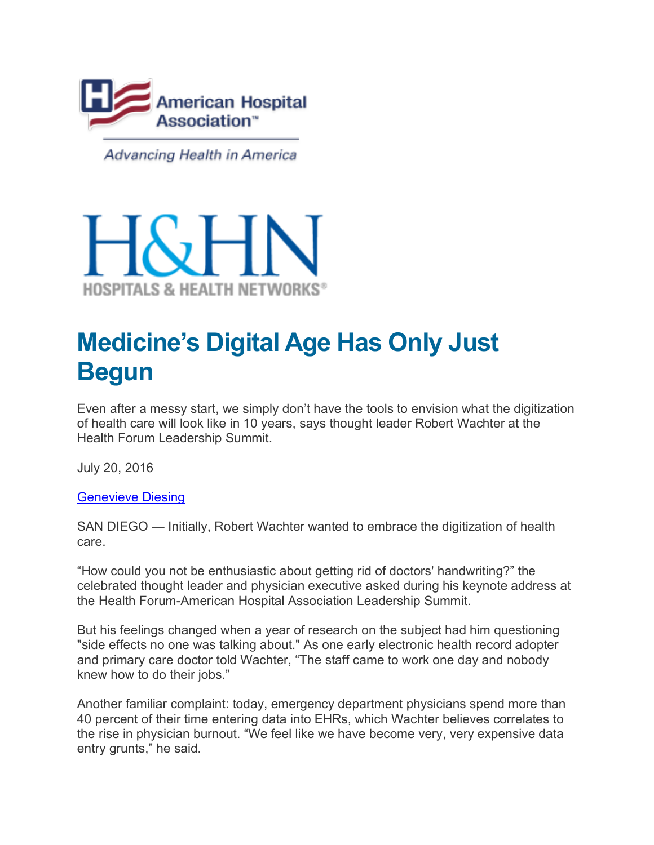

Advancing Health in America



## **Medicine's Digital Age Has Only Just Begun**

Even after a messy start, we simply don't have the tools to envision what the digitization of health care will look like in 10 years, says thought leader Robert Wachter at the Health Forum Leadership Summit.

July 20, 2016

**Genevieve Diesing** 

SAN DIEGO — Initially, Robert Wachter wanted to embrace the digitization of health care.

"How could you not be enthusiastic about getting rid of doctors' handwriting?" the celebrated thought leader and physician executive asked during his keynote address at the Health Forum-American Hospital Association Leadership Summit.

But his feelings changed when a year of research on the subject had him questioning "side effects no one was talking about." As one early electronic health record adopter and primary care doctor told Wachter, "The staff came to work one day and nobody knew how to do their jobs."

Another familiar complaint: today, emergency department physicians spend more than 40 percent of their time entering data into EHRs, which Wachter believes correlates to the rise in physician burnout. "We feel like we have become very, very expensive data entry grunts," he said.